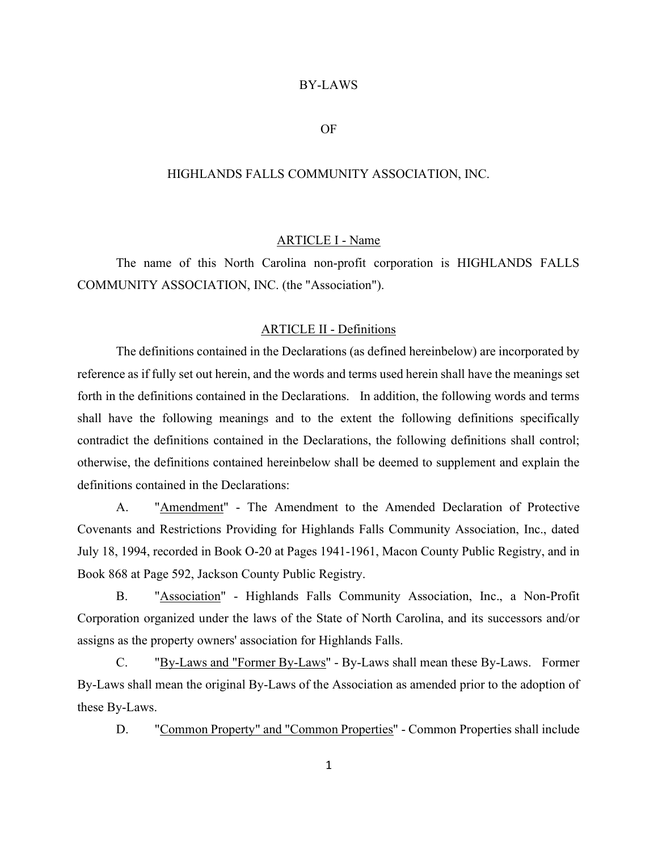#### BY-LAWS

## OF

## HIGHLANDS FALLS COMMUNITY ASSOCIATION, INC.

#### ARTICLE I - Name

 The name of this North Carolina non-profit corporation is HIGHLANDS FALLS COMMUNITY ASSOCIATION, INC. (the "Association").

#### ARTICLE II - Definitions

 The definitions contained in the Declarations (as defined hereinbelow) are incorporated by reference as if fully set out herein, and the words and terms used herein shall have the meanings set forth in the definitions contained in the Declarations. In addition, the following words and terms shall have the following meanings and to the extent the following definitions specifically contradict the definitions contained in the Declarations, the following definitions shall control; otherwise, the definitions contained hereinbelow shall be deemed to supplement and explain the definitions contained in the Declarations:

 A. "Amendment" - The Amendment to the Amended Declaration of Protective Covenants and Restrictions Providing for Highlands Falls Community Association, Inc., dated July 18, 1994, recorded in Book O-20 at Pages 1941-1961, Macon County Public Registry, and in Book 868 at Page 592, Jackson County Public Registry.

 B. "Association" - Highlands Falls Community Association, Inc., a Non-Profit Corporation organized under the laws of the State of North Carolina, and its successors and/or assigns as the property owners' association for Highlands Falls.

 C. "By-Laws and "Former By-Laws" - By-Laws shall mean these By-Laws. Former By-Laws shall mean the original By-Laws of the Association as amended prior to the adoption of these By-Laws.

D. "Common Property" and "Common Properties" - Common Properties shall include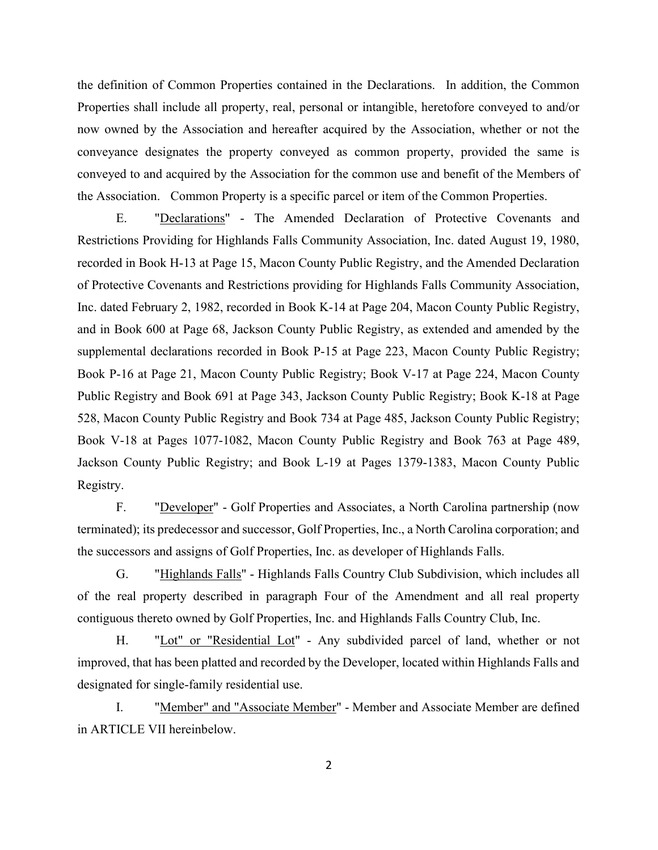the definition of Common Properties contained in the Declarations. In addition, the Common Properties shall include all property, real, personal or intangible, heretofore conveyed to and/or now owned by the Association and hereafter acquired by the Association, whether or not the conveyance designates the property conveyed as common property, provided the same is conveyed to and acquired by the Association for the common use and benefit of the Members of the Association. Common Property is a specific parcel or item of the Common Properties.

 E. "Declarations" - The Amended Declaration of Protective Covenants and Restrictions Providing for Highlands Falls Community Association, Inc. dated August 19, 1980, recorded in Book H-13 at Page 15, Macon County Public Registry, and the Amended Declaration of Protective Covenants and Restrictions providing for Highlands Falls Community Association, Inc. dated February 2, 1982, recorded in Book K-14 at Page 204, Macon County Public Registry, and in Book 600 at Page 68, Jackson County Public Registry, as extended and amended by the supplemental declarations recorded in Book P-15 at Page 223, Macon County Public Registry; Book P-16 at Page 21, Macon County Public Registry; Book V-17 at Page 224, Macon County Public Registry and Book 691 at Page 343, Jackson County Public Registry; Book K-18 at Page 528, Macon County Public Registry and Book 734 at Page 485, Jackson County Public Registry; Book V-18 at Pages 1077-1082, Macon County Public Registry and Book 763 at Page 489, Jackson County Public Registry; and Book L-19 at Pages 1379-1383, Macon County Public Registry.

 F. "Developer" - Golf Properties and Associates, a North Carolina partnership (now terminated); its predecessor and successor, Golf Properties, Inc., a North Carolina corporation; and the successors and assigns of Golf Properties, Inc. as developer of Highlands Falls.

 G. "Highlands Falls" - Highlands Falls Country Club Subdivision, which includes all of the real property described in paragraph Four of the Amendment and all real property contiguous thereto owned by Golf Properties, Inc. and Highlands Falls Country Club, Inc.

H. "Lot" or "Residential Lot" - Any subdivided parcel of land, whether or not improved, that has been platted and recorded by the Developer, located within Highlands Falls and designated for single-family residential use.

 I. "Member" and "Associate Member" - Member and Associate Member are defined in ARTICLE VII hereinbelow.

2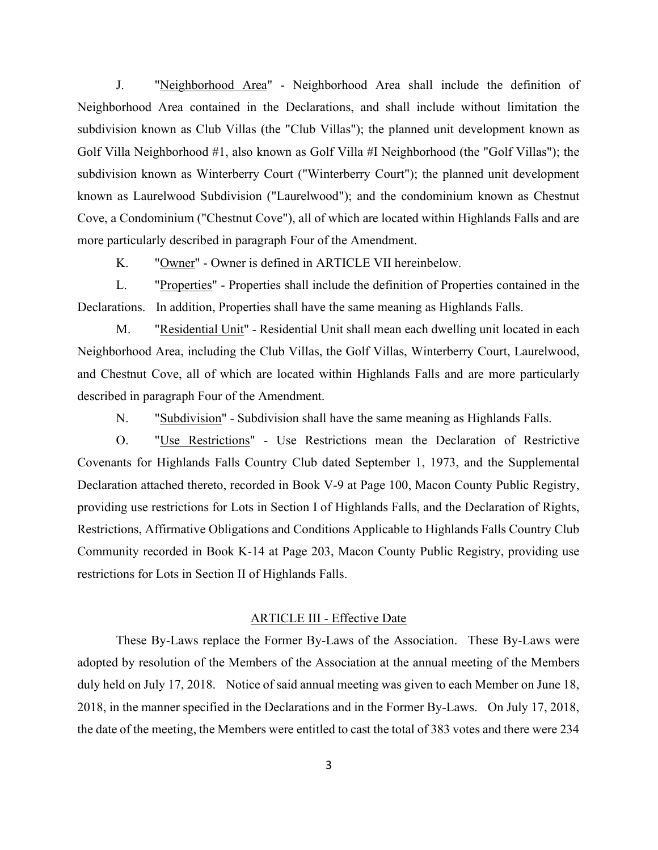J. "Neighborhood Area" - Neighborhood Area shall include the definition of Neighborhood Area contained in the Declarations, and shall include without limitation the subdivision known as Club Villas (the "Club Villas"); the planned unit development known as Golf Villa Neighborhood #1, also known as Golf Villa #I Neighborhood (the "Golf Villas"); the subdivision known as Winterberry Court ("Winterberry Court"); the planned unit development known as Laurelwood Subdivision ("Laurelwood"); and the condominium known as Chestnut Cove, a Condominium ("Chestnut Cove"), all of which are located within Highlands Falls and are more particularly described in paragraph Four of the Amendment.

K. "Owner" - Owner is defined in ARTICLE VII hereinbelow.

 L. "Properties" - Properties shall include the definition of Properties contained in the Declarations. In addition, Properties shall have the same meaning as Highlands Falls.

 M. "Residential Unit" - Residential Unit shall mean each dwelling unit located in each Neighborhood Area, including the Club Villas, the Golf Villas, Winterberry Court, Laurelwood, and Chestnut Cove, all of which are located within Highlands Falls and are more particularly described in paragraph Four of the Amendment.

N. "Subdivision" - Subdivision shall have the same meaning as Highlands Falls.

 O. "Use Restrictions" - Use Restrictions mean the Declaration of Restrictive Covenants for Highlands Falls Country Club dated September 1, 1973, and the Supplemental Declaration attached thereto, recorded in Book V-9 at Page 100, Macon County Public Registry, providing use restrictions for Lots in Section I of Highlands Falls, and the Declaration of Rights, Restrictions, Affirmative Obligations and Conditions Applicable to Highlands Falls Country Club Community recorded in Book K-14 at Page 203, Macon County Public Registry, providing use restrictions for Lots in Section II of Highlands Falls.

#### ARTICLE III - Effective Date

 These By-Laws replace the Former By-Laws of the Association. These By-Laws were adopted by resolution of the Members of the Association at the annual meeting of the Members duly held on July 17, 2018. Notice of said annual meeting was given to each Member on June 18, 2018, in the manner specified in the Declarations and in the Former By-Laws. On July 17, 2018, the date of the meeting, the Members were entitled to cast the total of 383 votes and there were 234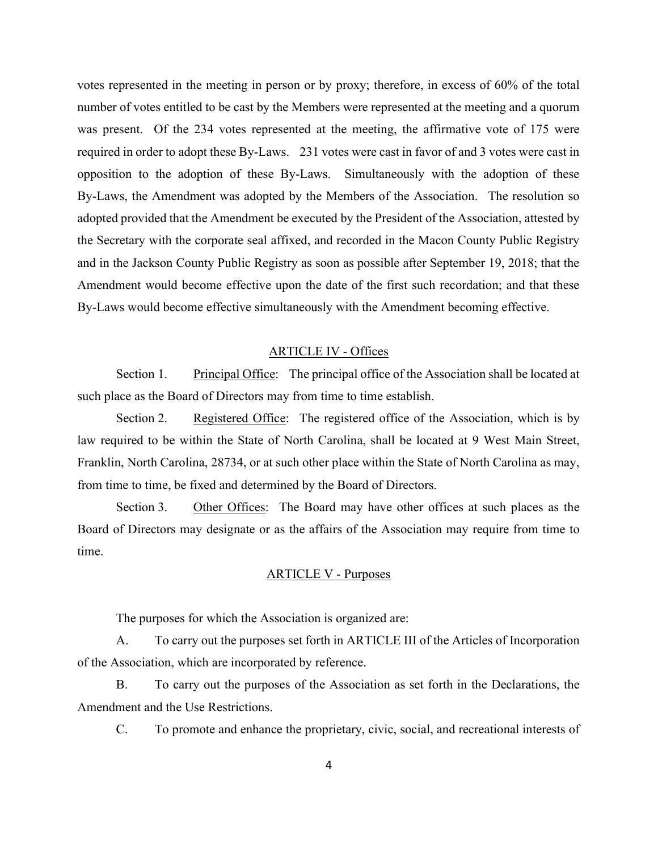votes represented in the meeting in person or by proxy; therefore, in excess of 60% of the total number of votes entitled to be cast by the Members were represented at the meeting and a quorum was present. Of the 234 votes represented at the meeting, the affirmative vote of 175 were required in order to adopt these By-Laws. 231 votes were cast in favor of and 3 votes were cast in opposition to the adoption of these By-Laws. Simultaneously with the adoption of these By-Laws, the Amendment was adopted by the Members of the Association. The resolution so adopted provided that the Amendment be executed by the President of the Association, attested by the Secretary with the corporate seal affixed, and recorded in the Macon County Public Registry and in the Jackson County Public Registry as soon as possible after September 19, 2018; that the Amendment would become effective upon the date of the first such recordation; and that these By-Laws would become effective simultaneously with the Amendment becoming effective.

# ARTICLE IV - Offices

 Section 1. Principal Office: The principal office of the Association shall be located at such place as the Board of Directors may from time to time establish.

Section 2. Registered Office: The registered office of the Association, which is by law required to be within the State of North Carolina, shall be located at 9 West Main Street, Franklin, North Carolina, 28734, or at such other place within the State of North Carolina as may, from time to time, be fixed and determined by the Board of Directors.

 Section 3. Other Offices: The Board may have other offices at such places as the Board of Directors may designate or as the affairs of the Association may require from time to time.

# ARTICLE V - Purposes

The purposes for which the Association is organized are:

 A. To carry out the purposes set forth in ARTICLE III of the Articles of Incorporation of the Association, which are incorporated by reference.

 B. To carry out the purposes of the Association as set forth in the Declarations, the Amendment and the Use Restrictions.

C. To promote and enhance the proprietary, civic, social, and recreational interests of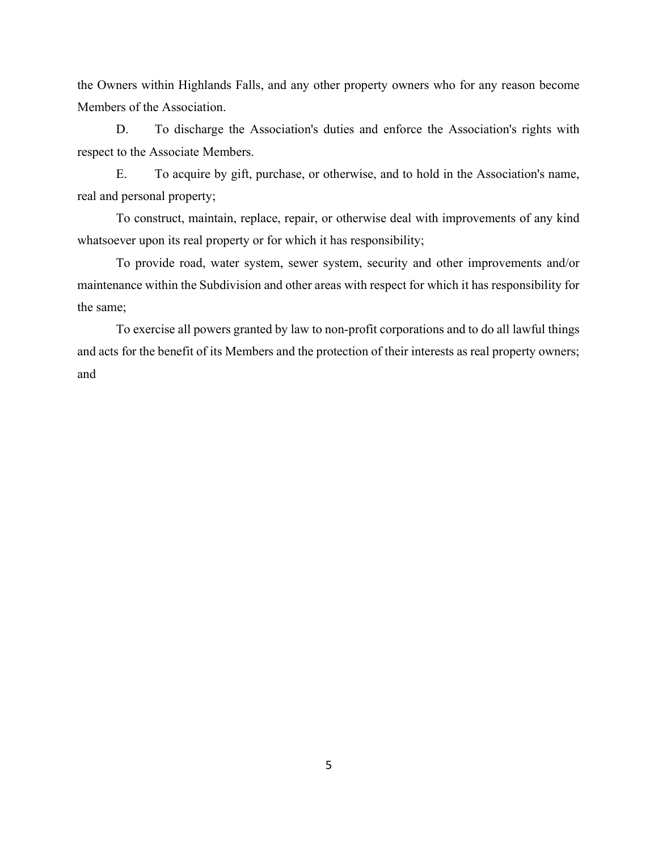the Owners within Highlands Falls, and any other property owners who for any reason become Members of the Association.

 D. To discharge the Association's duties and enforce the Association's rights with respect to the Associate Members.

 E. To acquire by gift, purchase, or otherwise, and to hold in the Association's name, real and personal property;

 To construct, maintain, replace, repair, or otherwise deal with improvements of any kind whatsoever upon its real property or for which it has responsibility;

 To provide road, water system, sewer system, security and other improvements and/or maintenance within the Subdivision and other areas with respect for which it has responsibility for the same;

 To exercise all powers granted by law to non-profit corporations and to do all lawful things and acts for the benefit of its Members and the protection of their interests as real property owners; and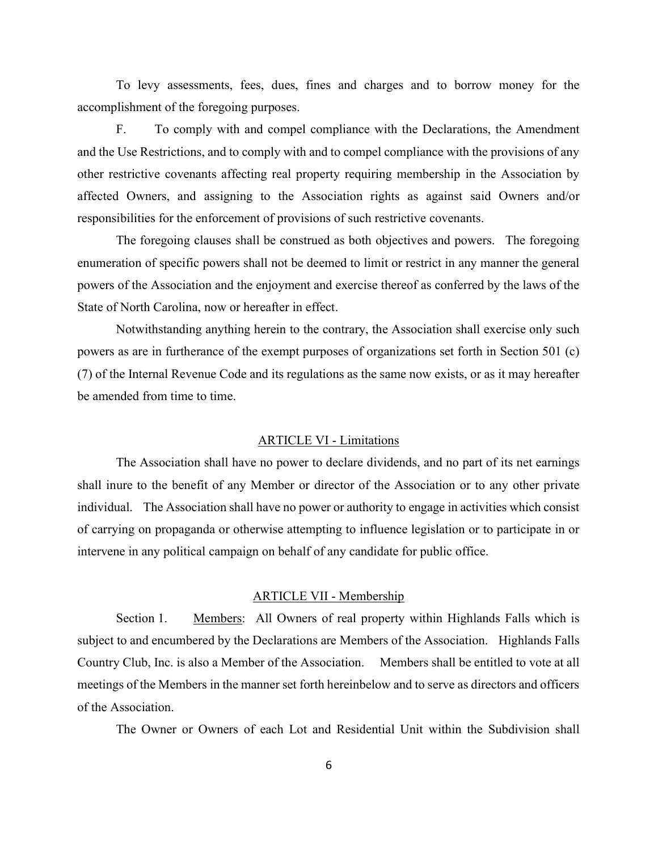To levy assessments, fees, dues, fines and charges and to borrow money for the accomplishment of the foregoing purposes.

 F. To comply with and compel compliance with the Declarations, the Amendment and the Use Restrictions, and to comply with and to compel compliance with the provisions of any other restrictive covenants affecting real property requiring membership in the Association by affected Owners, and assigning to the Association rights as against said Owners and/or responsibilities for the enforcement of provisions of such restrictive covenants.

 The foregoing clauses shall be construed as both objectives and powers. The foregoing enumeration of specific powers shall not be deemed to limit or restrict in any manner the general powers of the Association and the enjoyment and exercise thereof as conferred by the laws of the State of North Carolina, now or hereafter in effect.

 Notwithstanding anything herein to the contrary, the Association shall exercise only such powers as are in furtherance of the exempt purposes of organizations set forth in Section 501 (c) (7) of the Internal Revenue Code and its regulations as the same now exists, or as it may hereafter be amended from time to time.

#### ARTICLE VI - Limitations

 The Association shall have no power to declare dividends, and no part of its net earnings shall inure to the benefit of any Member or director of the Association or to any other private individual. The Association shall have no power or authority to engage in activities which consist of carrying on propaganda or otherwise attempting to influence legislation or to participate in or intervene in any political campaign on behalf of any candidate for public office.

## ARTICLE VII - Membership

 Section 1. Members: All Owners of real property within Highlands Falls which is subject to and encumbered by the Declarations are Members of the Association. Highlands Falls Country Club, Inc. is also a Member of the Association. Members shall be entitled to vote at all meetings of the Members in the manner set forth hereinbelow and to serve as directors and officers of the Association.

The Owner or Owners of each Lot and Residential Unit within the Subdivision shall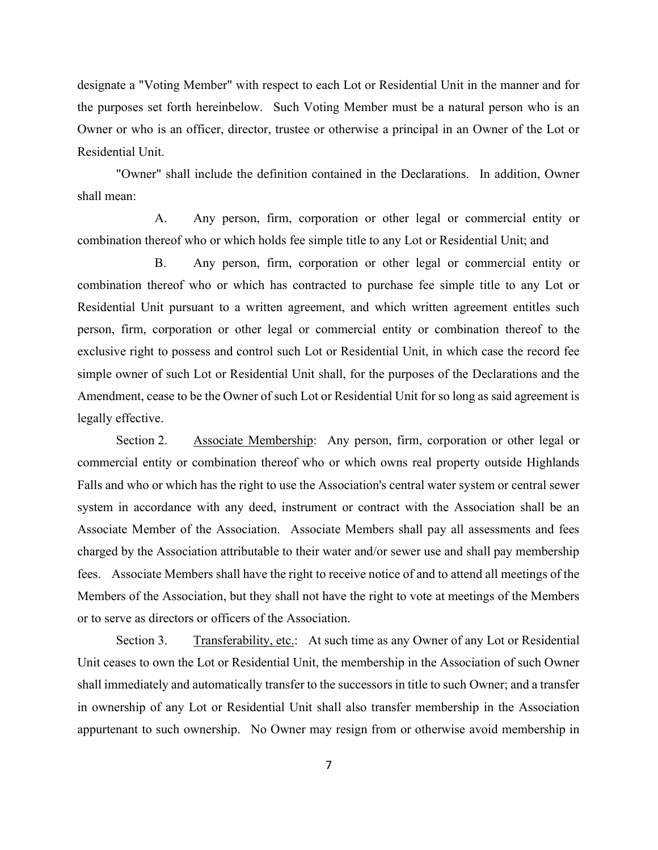designate a "Voting Member" with respect to each Lot or Residential Unit in the manner and for the purposes set forth hereinbelow. Such Voting Member must be a natural person who is an Owner or who is an officer, director, trustee or otherwise a principal in an Owner of the Lot or Residential Unit.

 "Owner" shall include the definition contained in the Declarations. In addition, Owner shall mean:

 A. Any person, firm, corporation or other legal or commercial entity or combination thereof who or which holds fee simple title to any Lot or Residential Unit; and

 B. Any person, firm, corporation or other legal or commercial entity or combination thereof who or which has contracted to purchase fee simple title to any Lot or Residential Unit pursuant to a written agreement, and which written agreement entitles such person, firm, corporation or other legal or commercial entity or combination thereof to the exclusive right to possess and control such Lot or Residential Unit, in which case the record fee simple owner of such Lot or Residential Unit shall, for the purposes of the Declarations and the Amendment, cease to be the Owner of such Lot or Residential Unit for so long as said agreement is legally effective.

 Section 2. Associate Membership: Any person, firm, corporation or other legal or commercial entity or combination thereof who or which owns real property outside Highlands Falls and who or which has the right to use the Association's central water system or central sewer system in accordance with any deed, instrument or contract with the Association shall be an Associate Member of the Association. Associate Members shall pay all assessments and fees charged by the Association attributable to their water and/or sewer use and shall pay membership fees. Associate Members shall have the right to receive notice of and to attend all meetings of the Members of the Association, but they shall not have the right to vote at meetings of the Members or to serve as directors or officers of the Association.

 Section 3. Transferability, etc.: At such time as any Owner of any Lot or Residential Unit ceases to own the Lot or Residential Unit, the membership in the Association of such Owner shall immediately and automatically transfer to the successors in title to such Owner; and a transfer in ownership of any Lot or Residential Unit shall also transfer membership in the Association appurtenant to such ownership. No Owner may resign from or otherwise avoid membership in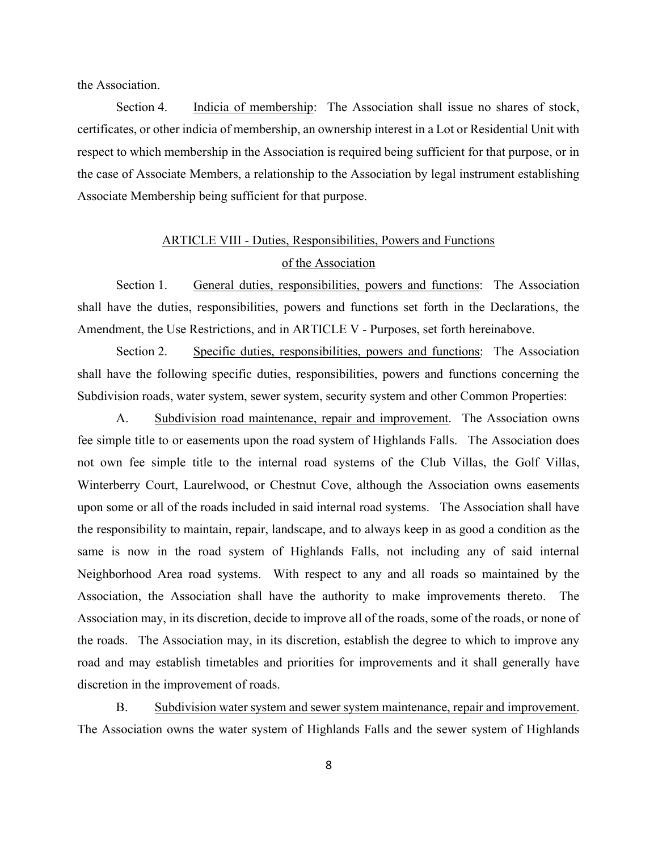the Association.

Section 4. Indicia of membership: The Association shall issue no shares of stock, certificates, or other indicia of membership, an ownership interest in a Lot or Residential Unit with respect to which membership in the Association is required being sufficient for that purpose, or in the case of Associate Members, a relationship to the Association by legal instrument establishing Associate Membership being sufficient for that purpose.

# ARTICLE VIII - Duties, Responsibilities, Powers and Functions of the Association

 Section 1. General duties, responsibilities, powers and functions: The Association shall have the duties, responsibilities, powers and functions set forth in the Declarations, the Amendment, the Use Restrictions, and in ARTICLE V - Purposes, set forth hereinabove.

Section 2. Specific duties, responsibilities, powers and functions: The Association shall have the following specific duties, responsibilities, powers and functions concerning the Subdivision roads, water system, sewer system, security system and other Common Properties:

 A. Subdivision road maintenance, repair and improvement. The Association owns fee simple title to or easements upon the road system of Highlands Falls. The Association does not own fee simple title to the internal road systems of the Club Villas, the Golf Villas, Winterberry Court, Laurelwood, or Chestnut Cove, although the Association owns easements upon some or all of the roads included in said internal road systems. The Association shall have the responsibility to maintain, repair, landscape, and to always keep in as good a condition as the same is now in the road system of Highlands Falls, not including any of said internal Neighborhood Area road systems. With respect to any and all roads so maintained by the Association, the Association shall have the authority to make improvements thereto. The Association may, in its discretion, decide to improve all of the roads, some of the roads, or none of the roads. The Association may, in its discretion, establish the degree to which to improve any road and may establish timetables and priorities for improvements and it shall generally have discretion in the improvement of roads.

 B. Subdivision water system and sewer system maintenance, repair and improvement. The Association owns the water system of Highlands Falls and the sewer system of Highlands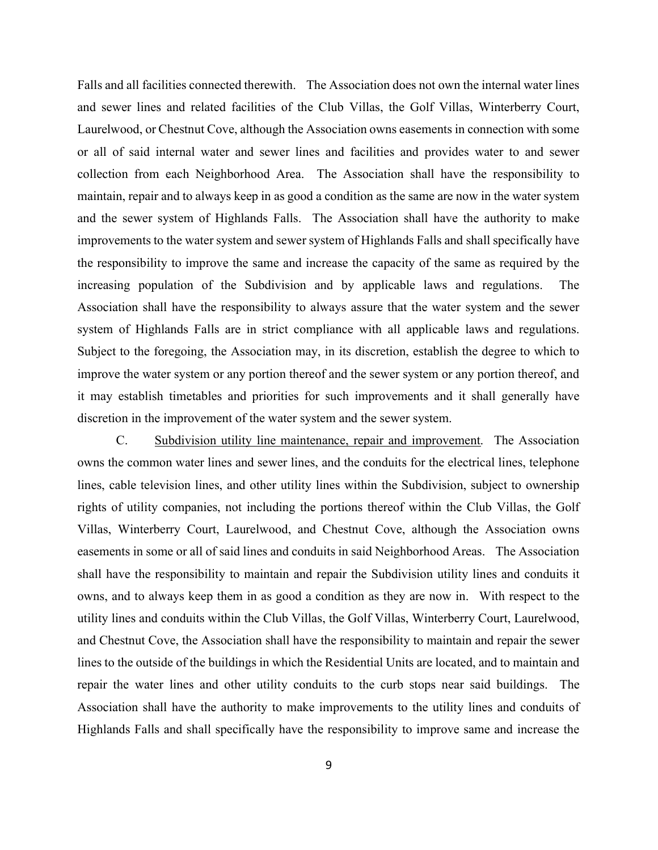Falls and all facilities connected therewith. The Association does not own the internal water lines and sewer lines and related facilities of the Club Villas, the Golf Villas, Winterberry Court, Laurelwood, or Chestnut Cove, although the Association owns easements in connection with some or all of said internal water and sewer lines and facilities and provides water to and sewer collection from each Neighborhood Area. The Association shall have the responsibility to maintain, repair and to always keep in as good a condition as the same are now in the water system and the sewer system of Highlands Falls. The Association shall have the authority to make improvements to the water system and sewer system of Highlands Falls and shall specifically have the responsibility to improve the same and increase the capacity of the same as required by the increasing population of the Subdivision and by applicable laws and regulations. The Association shall have the responsibility to always assure that the water system and the sewer system of Highlands Falls are in strict compliance with all applicable laws and regulations. Subject to the foregoing, the Association may, in its discretion, establish the degree to which to improve the water system or any portion thereof and the sewer system or any portion thereof, and it may establish timetables and priorities for such improvements and it shall generally have discretion in the improvement of the water system and the sewer system.

 C. Subdivision utility line maintenance, repair and improvement. The Association owns the common water lines and sewer lines, and the conduits for the electrical lines, telephone lines, cable television lines, and other utility lines within the Subdivision, subject to ownership rights of utility companies, not including the portions thereof within the Club Villas, the Golf Villas, Winterberry Court, Laurelwood, and Chestnut Cove, although the Association owns easements in some or all of said lines and conduits in said Neighborhood Areas. The Association shall have the responsibility to maintain and repair the Subdivision utility lines and conduits it owns, and to always keep them in as good a condition as they are now in. With respect to the utility lines and conduits within the Club Villas, the Golf Villas, Winterberry Court, Laurelwood, and Chestnut Cove, the Association shall have the responsibility to maintain and repair the sewer lines to the outside of the buildings in which the Residential Units are located, and to maintain and repair the water lines and other utility conduits to the curb stops near said buildings. The Association shall have the authority to make improvements to the utility lines and conduits of Highlands Falls and shall specifically have the responsibility to improve same and increase the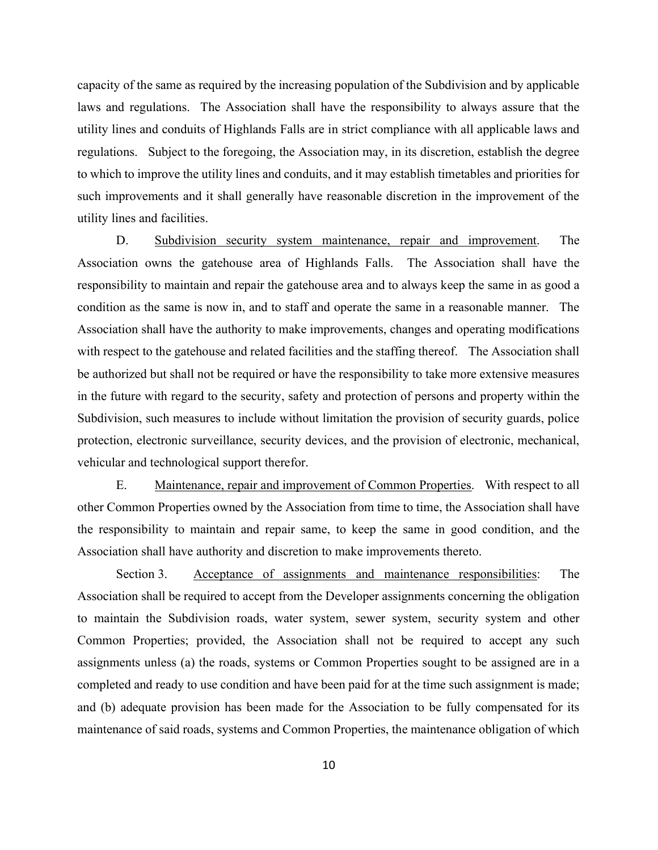capacity of the same as required by the increasing population of the Subdivision and by applicable laws and regulations. The Association shall have the responsibility to always assure that the utility lines and conduits of Highlands Falls are in strict compliance with all applicable laws and regulations. Subject to the foregoing, the Association may, in its discretion, establish the degree to which to improve the utility lines and conduits, and it may establish timetables and priorities for such improvements and it shall generally have reasonable discretion in the improvement of the utility lines and facilities.

 D. Subdivision security system maintenance, repair and improvement. The Association owns the gatehouse area of Highlands Falls. The Association shall have the responsibility to maintain and repair the gatehouse area and to always keep the same in as good a condition as the same is now in, and to staff and operate the same in a reasonable manner. The Association shall have the authority to make improvements, changes and operating modifications with respect to the gatehouse and related facilities and the staffing thereof. The Association shall be authorized but shall not be required or have the responsibility to take more extensive measures in the future with regard to the security, safety and protection of persons and property within the Subdivision, such measures to include without limitation the provision of security guards, police protection, electronic surveillance, security devices, and the provision of electronic, mechanical, vehicular and technological support therefor.

 E. Maintenance, repair and improvement of Common Properties. With respect to all other Common Properties owned by the Association from time to time, the Association shall have the responsibility to maintain and repair same, to keep the same in good condition, and the Association shall have authority and discretion to make improvements thereto.

 Section 3. Acceptance of assignments and maintenance responsibilities: The Association shall be required to accept from the Developer assignments concerning the obligation to maintain the Subdivision roads, water system, sewer system, security system and other Common Properties; provided, the Association shall not be required to accept any such assignments unless (a) the roads, systems or Common Properties sought to be assigned are in a completed and ready to use condition and have been paid for at the time such assignment is made; and (b) adequate provision has been made for the Association to be fully compensated for its maintenance of said roads, systems and Common Properties, the maintenance obligation of which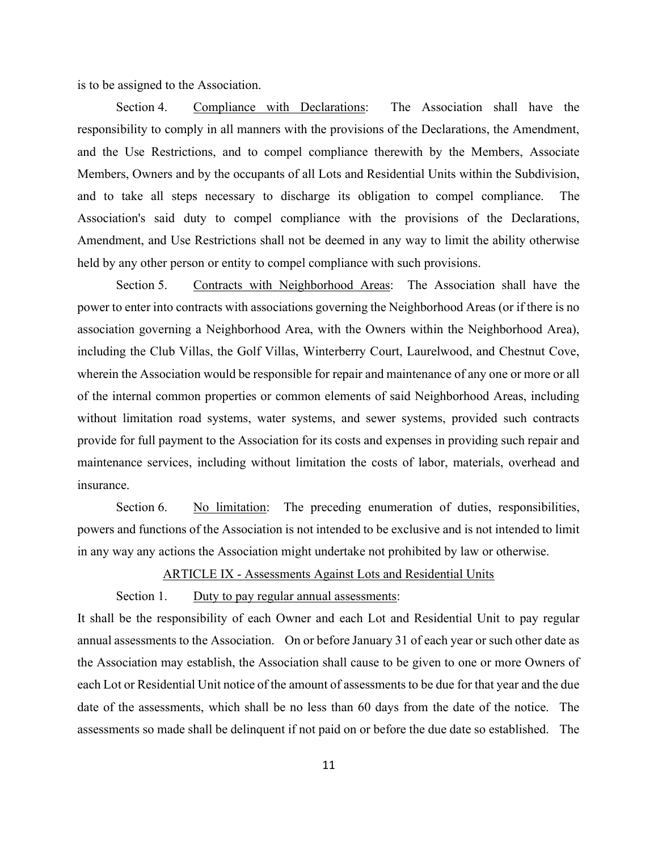is to be assigned to the Association.

 Section 4. Compliance with Declarations: The Association shall have the responsibility to comply in all manners with the provisions of the Declarations, the Amendment, and the Use Restrictions, and to compel compliance therewith by the Members, Associate Members, Owners and by the occupants of all Lots and Residential Units within the Subdivision, and to take all steps necessary to discharge its obligation to compel compliance. The Association's said duty to compel compliance with the provisions of the Declarations, Amendment, and Use Restrictions shall not be deemed in any way to limit the ability otherwise held by any other person or entity to compel compliance with such provisions.

 Section 5. Contracts with Neighborhood Areas: The Association shall have the power to enter into contracts with associations governing the Neighborhood Areas (or if there is no association governing a Neighborhood Area, with the Owners within the Neighborhood Area), including the Club Villas, the Golf Villas, Winterberry Court, Laurelwood, and Chestnut Cove, wherein the Association would be responsible for repair and maintenance of any one or more or all of the internal common properties or common elements of said Neighborhood Areas, including without limitation road systems, water systems, and sewer systems, provided such contracts provide for full payment to the Association for its costs and expenses in providing such repair and maintenance services, including without limitation the costs of labor, materials, overhead and insurance.

Section 6. No limitation: The preceding enumeration of duties, responsibilities, powers and functions of the Association is not intended to be exclusive and is not intended to limit in any way any actions the Association might undertake not prohibited by law or otherwise.

# ARTICLE IX - Assessments Against Lots and Residential Units

# Section 1. Duty to pay regular annual assessments:

It shall be the responsibility of each Owner and each Lot and Residential Unit to pay regular annual assessments to the Association. On or before January 31 of each year or such other date as the Association may establish, the Association shall cause to be given to one or more Owners of each Lot or Residential Unit notice of the amount of assessments to be due for that year and the due date of the assessments, which shall be no less than 60 days from the date of the notice. The assessments so made shall be delinquent if not paid on or before the due date so established. The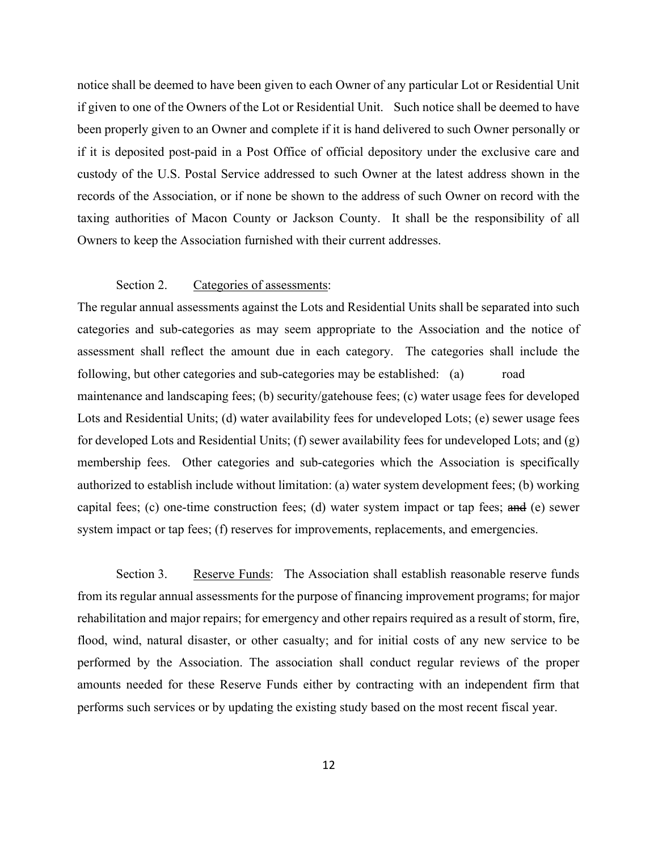notice shall be deemed to have been given to each Owner of any particular Lot or Residential Unit if given to one of the Owners of the Lot or Residential Unit. Such notice shall be deemed to have been properly given to an Owner and complete if it is hand delivered to such Owner personally or if it is deposited post-paid in a Post Office of official depository under the exclusive care and custody of the U.S. Postal Service addressed to such Owner at the latest address shown in the records of the Association, or if none be shown to the address of such Owner on record with the taxing authorities of Macon County or Jackson County. It shall be the responsibility of all Owners to keep the Association furnished with their current addresses.

# Section 2. Categories of assessments:

The regular annual assessments against the Lots and Residential Units shall be separated into such categories and sub-categories as may seem appropriate to the Association and the notice of assessment shall reflect the amount due in each category. The categories shall include the following, but other categories and sub-categories may be established: (a) road maintenance and landscaping fees; (b) security/gatehouse fees; (c) water usage fees for developed Lots and Residential Units; (d) water availability fees for undeveloped Lots; (e) sewer usage fees for developed Lots and Residential Units; (f) sewer availability fees for undeveloped Lots; and (g) membership fees. Other categories and sub-categories which the Association is specifically authorized to establish include without limitation: (a) water system development fees; (b) working capital fees; (c) one-time construction fees; (d) water system impact or tap fees; and (e) sewer system impact or tap fees; (f) reserves for improvements, replacements, and emergencies.

 Section 3. Reserve Funds: The Association shall establish reasonable reserve funds from its regular annual assessments for the purpose of financing improvement programs; for major rehabilitation and major repairs; for emergency and other repairs required as a result of storm, fire, flood, wind, natural disaster, or other casualty; and for initial costs of any new service to be performed by the Association. The association shall conduct regular reviews of the proper amounts needed for these Reserve Funds either by contracting with an independent firm that performs such services or by updating the existing study based on the most recent fiscal year.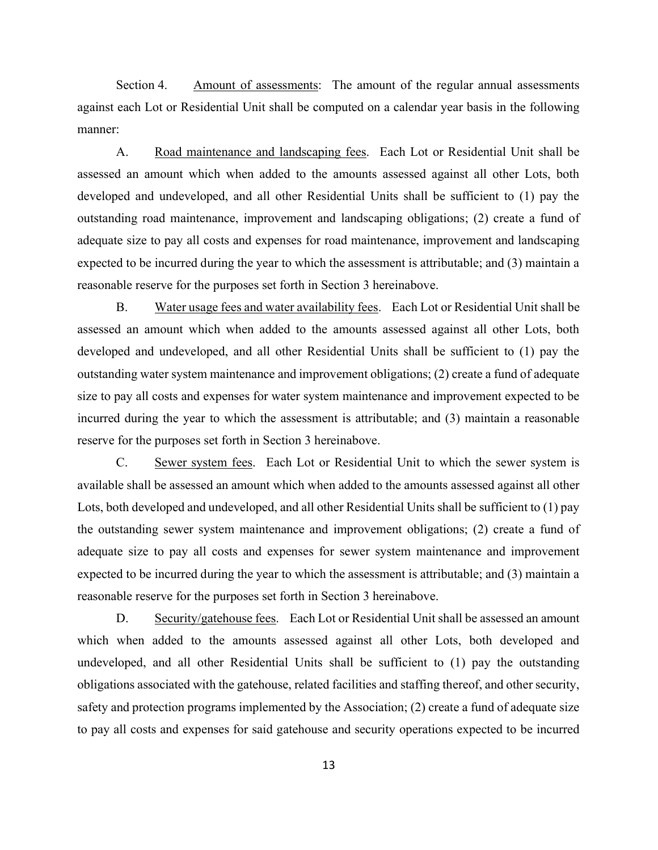Section 4. Amount of assessments: The amount of the regular annual assessments against each Lot or Residential Unit shall be computed on a calendar year basis in the following manner:

A. Road maintenance and landscaping fees. Each Lot or Residential Unit shall be assessed an amount which when added to the amounts assessed against all other Lots, both developed and undeveloped, and all other Residential Units shall be sufficient to (1) pay the outstanding road maintenance, improvement and landscaping obligations; (2) create a fund of adequate size to pay all costs and expenses for road maintenance, improvement and landscaping expected to be incurred during the year to which the assessment is attributable; and (3) maintain a reasonable reserve for the purposes set forth in Section 3 hereinabove.

 B. Water usage fees and water availability fees. Each Lot or Residential Unit shall be assessed an amount which when added to the amounts assessed against all other Lots, both developed and undeveloped, and all other Residential Units shall be sufficient to (1) pay the outstanding water system maintenance and improvement obligations; (2) create a fund of adequate size to pay all costs and expenses for water system maintenance and improvement expected to be incurred during the year to which the assessment is attributable; and (3) maintain a reasonable reserve for the purposes set forth in Section 3 hereinabove.

 C. Sewer system fees. Each Lot or Residential Unit to which the sewer system is available shall be assessed an amount which when added to the amounts assessed against all other Lots, both developed and undeveloped, and all other Residential Units shall be sufficient to (1) pay the outstanding sewer system maintenance and improvement obligations; (2) create a fund of adequate size to pay all costs and expenses for sewer system maintenance and improvement expected to be incurred during the year to which the assessment is attributable; and (3) maintain a reasonable reserve for the purposes set forth in Section 3 hereinabove.

 D. Security/gatehouse fees. Each Lot or Residential Unit shall be assessed an amount which when added to the amounts assessed against all other Lots, both developed and undeveloped, and all other Residential Units shall be sufficient to (1) pay the outstanding obligations associated with the gatehouse, related facilities and staffing thereof, and other security, safety and protection programs implemented by the Association; (2) create a fund of adequate size to pay all costs and expenses for said gatehouse and security operations expected to be incurred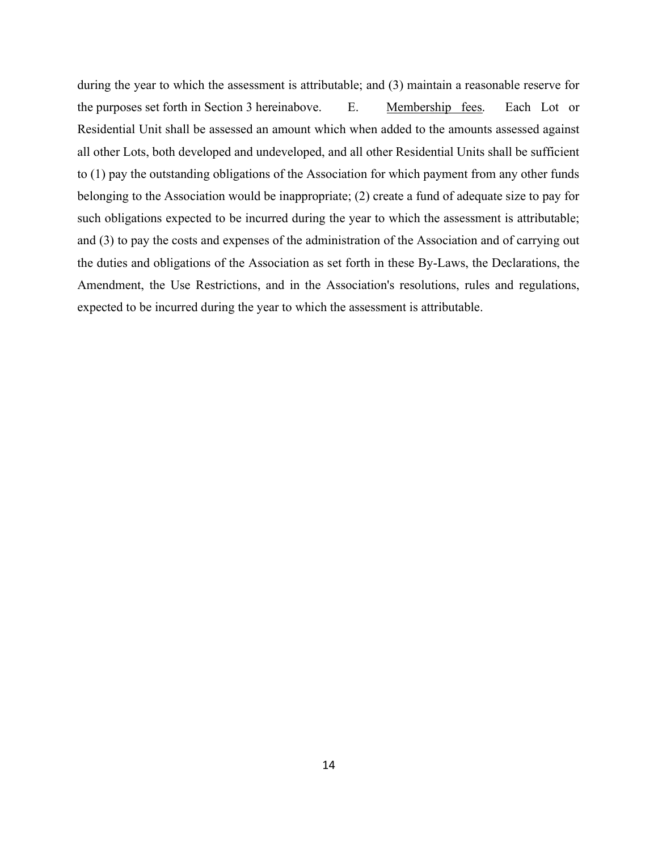during the year to which the assessment is attributable; and (3) maintain a reasonable reserve for the purposes set forth in Section 3 hereinabove. E. Membership fees. Each Lot or Residential Unit shall be assessed an amount which when added to the amounts assessed against all other Lots, both developed and undeveloped, and all other Residential Units shall be sufficient to (1) pay the outstanding obligations of the Association for which payment from any other funds belonging to the Association would be inappropriate; (2) create a fund of adequate size to pay for such obligations expected to be incurred during the year to which the assessment is attributable; and (3) to pay the costs and expenses of the administration of the Association and of carrying out the duties and obligations of the Association as set forth in these By-Laws, the Declarations, the Amendment, the Use Restrictions, and in the Association's resolutions, rules and regulations, expected to be incurred during the year to which the assessment is attributable.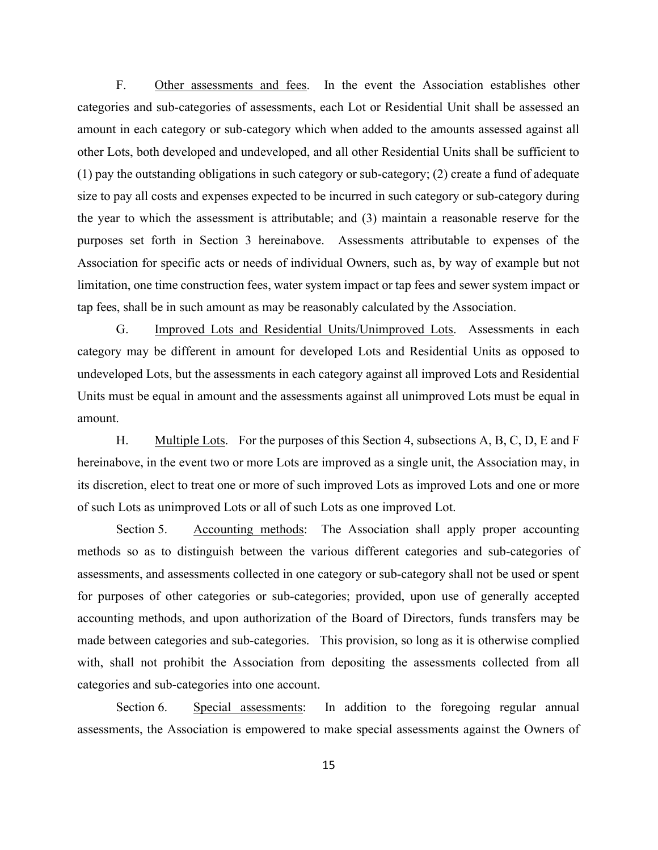F. Other assessments and fees. In the event the Association establishes other categories and sub-categories of assessments, each Lot or Residential Unit shall be assessed an amount in each category or sub-category which when added to the amounts assessed against all other Lots, both developed and undeveloped, and all other Residential Units shall be sufficient to (1) pay the outstanding obligations in such category or sub-category; (2) create a fund of adequate size to pay all costs and expenses expected to be incurred in such category or sub-category during the year to which the assessment is attributable; and (3) maintain a reasonable reserve for the purposes set forth in Section 3 hereinabove. Assessments attributable to expenses of the Association for specific acts or needs of individual Owners, such as, by way of example but not limitation, one time construction fees, water system impact or tap fees and sewer system impact or tap fees, shall be in such amount as may be reasonably calculated by the Association.

 G. Improved Lots and Residential Units/Unimproved Lots. Assessments in each category may be different in amount for developed Lots and Residential Units as opposed to undeveloped Lots, but the assessments in each category against all improved Lots and Residential Units must be equal in amount and the assessments against all unimproved Lots must be equal in amount.

 H. Multiple Lots. For the purposes of this Section 4, subsections A, B, C, D, E and F hereinabove, in the event two or more Lots are improved as a single unit, the Association may, in its discretion, elect to treat one or more of such improved Lots as improved Lots and one or more of such Lots as unimproved Lots or all of such Lots as one improved Lot.

Section 5. Accounting methods: The Association shall apply proper accounting methods so as to distinguish between the various different categories and sub-categories of assessments, and assessments collected in one category or sub-category shall not be used or spent for purposes of other categories or sub-categories; provided, upon use of generally accepted accounting methods, and upon authorization of the Board of Directors, funds transfers may be made between categories and sub-categories. This provision, so long as it is otherwise complied with, shall not prohibit the Association from depositing the assessments collected from all categories and sub-categories into one account.

Section 6. Special assessments: In addition to the foregoing regular annual assessments, the Association is empowered to make special assessments against the Owners of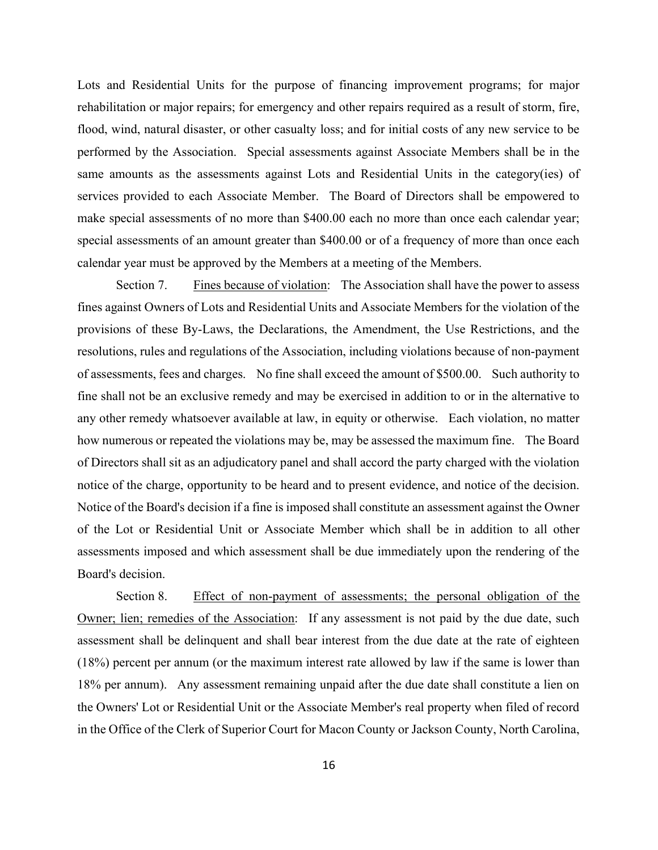Lots and Residential Units for the purpose of financing improvement programs; for major rehabilitation or major repairs; for emergency and other repairs required as a result of storm, fire, flood, wind, natural disaster, or other casualty loss; and for initial costs of any new service to be performed by the Association. Special assessments against Associate Members shall be in the same amounts as the assessments against Lots and Residential Units in the category(ies) of services provided to each Associate Member. The Board of Directors shall be empowered to make special assessments of no more than \$400.00 each no more than once each calendar year; special assessments of an amount greater than \$400.00 or of a frequency of more than once each calendar year must be approved by the Members at a meeting of the Members.

Section 7. Fines because of violation: The Association shall have the power to assess fines against Owners of Lots and Residential Units and Associate Members for the violation of the provisions of these By-Laws, the Declarations, the Amendment, the Use Restrictions, and the resolutions, rules and regulations of the Association, including violations because of non-payment of assessments, fees and charges. No fine shall exceed the amount of \$500.00. Such authority to fine shall not be an exclusive remedy and may be exercised in addition to or in the alternative to any other remedy whatsoever available at law, in equity or otherwise. Each violation, no matter how numerous or repeated the violations may be, may be assessed the maximum fine. The Board of Directors shall sit as an adjudicatory panel and shall accord the party charged with the violation notice of the charge, opportunity to be heard and to present evidence, and notice of the decision. Notice of the Board's decision if a fine is imposed shall constitute an assessment against the Owner of the Lot or Residential Unit or Associate Member which shall be in addition to all other assessments imposed and which assessment shall be due immediately upon the rendering of the Board's decision.

Section 8. Effect of non-payment of assessments; the personal obligation of the Owner; lien; remedies of the Association: If any assessment is not paid by the due date, such assessment shall be delinquent and shall bear interest from the due date at the rate of eighteen (18%) percent per annum (or the maximum interest rate allowed by law if the same is lower than 18% per annum). Any assessment remaining unpaid after the due date shall constitute a lien on the Owners' Lot or Residential Unit or the Associate Member's real property when filed of record in the Office of the Clerk of Superior Court for Macon County or Jackson County, North Carolina,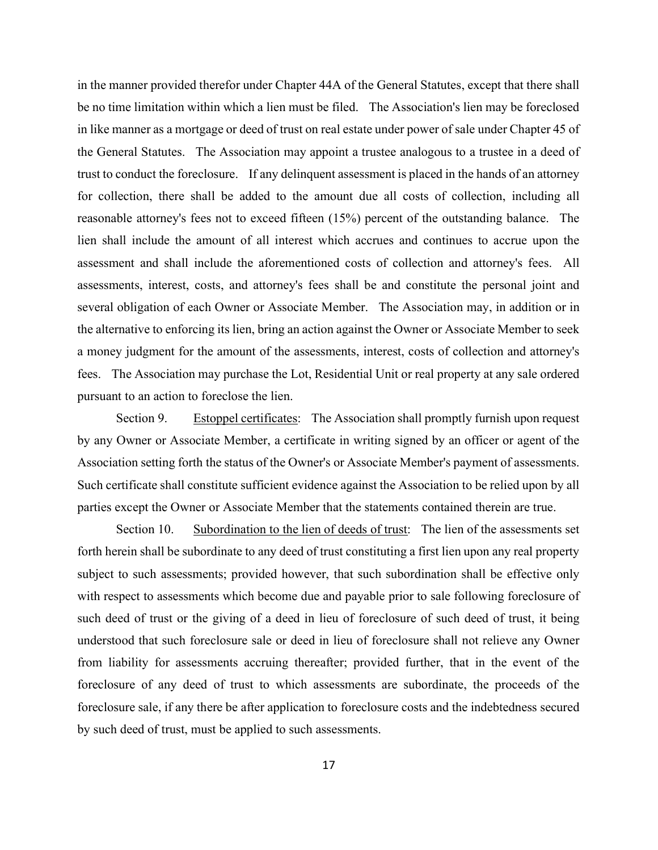in the manner provided therefor under Chapter 44A of the General Statutes, except that there shall be no time limitation within which a lien must be filed. The Association's lien may be foreclosed in like manner as a mortgage or deed of trust on real estate under power of sale under Chapter 45 of the General Statutes. The Association may appoint a trustee analogous to a trustee in a deed of trust to conduct the foreclosure. If any delinquent assessment is placed in the hands of an attorney for collection, there shall be added to the amount due all costs of collection, including all reasonable attorney's fees not to exceed fifteen (15%) percent of the outstanding balance. The lien shall include the amount of all interest which accrues and continues to accrue upon the assessment and shall include the aforementioned costs of collection and attorney's fees. All assessments, interest, costs, and attorney's fees shall be and constitute the personal joint and several obligation of each Owner or Associate Member. The Association may, in addition or in the alternative to enforcing its lien, bring an action against the Owner or Associate Member to seek a money judgment for the amount of the assessments, interest, costs of collection and attorney's fees. The Association may purchase the Lot, Residential Unit or real property at any sale ordered pursuant to an action to foreclose the lien.

Section 9. Estoppel certificates: The Association shall promptly furnish upon request by any Owner or Associate Member, a certificate in writing signed by an officer or agent of the Association setting forth the status of the Owner's or Associate Member's payment of assessments. Such certificate shall constitute sufficient evidence against the Association to be relied upon by all parties except the Owner or Associate Member that the statements contained therein are true.

 Section 10. Subordination to the lien of deeds of trust: The lien of the assessments set forth herein shall be subordinate to any deed of trust constituting a first lien upon any real property subject to such assessments; provided however, that such subordination shall be effective only with respect to assessments which become due and payable prior to sale following foreclosure of such deed of trust or the giving of a deed in lieu of foreclosure of such deed of trust, it being understood that such foreclosure sale or deed in lieu of foreclosure shall not relieve any Owner from liability for assessments accruing thereafter; provided further, that in the event of the foreclosure of any deed of trust to which assessments are subordinate, the proceeds of the foreclosure sale, if any there be after application to foreclosure costs and the indebtedness secured by such deed of trust, must be applied to such assessments.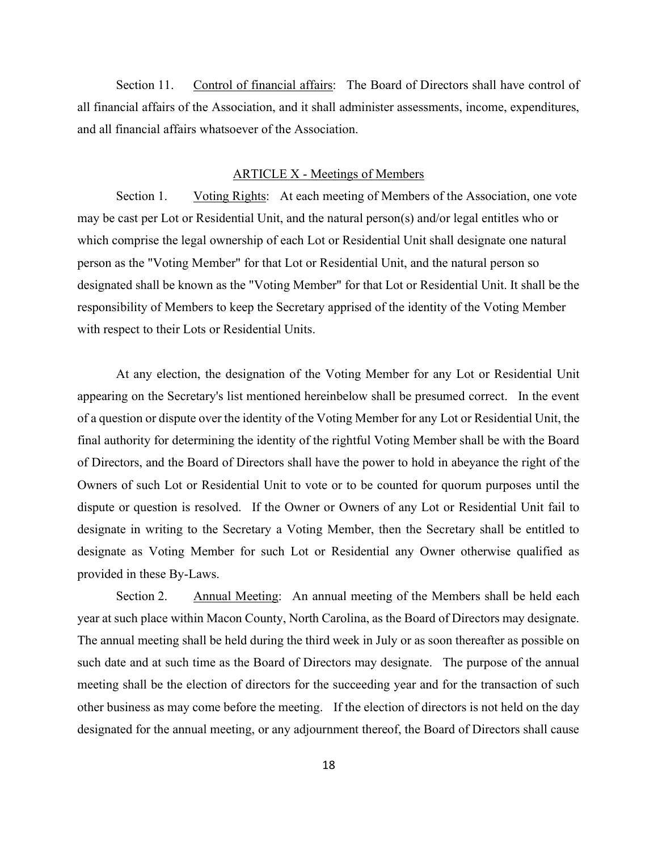Section 11. Control of financial affairs: The Board of Directors shall have control of all financial affairs of the Association, and it shall administer assessments, income, expenditures, and all financial affairs whatsoever of the Association.

# ARTICLE X - Meetings of Members

 Section 1. Voting Rights: At each meeting of Members of the Association, one vote may be cast per Lot or Residential Unit, and the natural person(s) and/or legal entitles who or which comprise the legal ownership of each Lot or Residential Unit shall designate one natural person as the "Voting Member" for that Lot or Residential Unit, and the natural person so designated shall be known as the "Voting Member" for that Lot or Residential Unit. It shall be the responsibility of Members to keep the Secretary apprised of the identity of the Voting Member with respect to their Lots or Residential Units.

 At any election, the designation of the Voting Member for any Lot or Residential Unit appearing on the Secretary's list mentioned hereinbelow shall be presumed correct. In the event of a question or dispute over the identity of the Voting Member for any Lot or Residential Unit, the final authority for determining the identity of the rightful Voting Member shall be with the Board of Directors, and the Board of Directors shall have the power to hold in abeyance the right of the Owners of such Lot or Residential Unit to vote or to be counted for quorum purposes until the dispute or question is resolved. If the Owner or Owners of any Lot or Residential Unit fail to designate in writing to the Secretary a Voting Member, then the Secretary shall be entitled to designate as Voting Member for such Lot or Residential any Owner otherwise qualified as provided in these By-Laws.

Section 2. Annual Meeting: An annual meeting of the Members shall be held each year at such place within Macon County, North Carolina, as the Board of Directors may designate. The annual meeting shall be held during the third week in July or as soon thereafter as possible on such date and at such time as the Board of Directors may designate. The purpose of the annual meeting shall be the election of directors for the succeeding year and for the transaction of such other business as may come before the meeting. If the election of directors is not held on the day designated for the annual meeting, or any adjournment thereof, the Board of Directors shall cause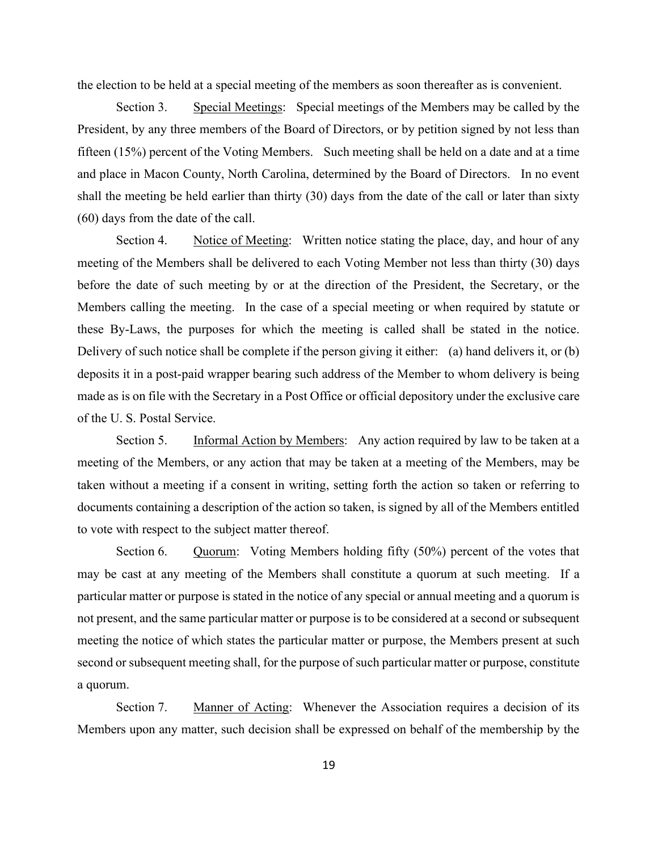the election to be held at a special meeting of the members as soon thereafter as is convenient.

 Section 3. Special Meetings: Special meetings of the Members may be called by the President, by any three members of the Board of Directors, or by petition signed by not less than fifteen (15%) percent of the Voting Members. Such meeting shall be held on a date and at a time and place in Macon County, North Carolina, determined by the Board of Directors. In no event shall the meeting be held earlier than thirty (30) days from the date of the call or later than sixty (60) days from the date of the call.

Section 4. Notice of Meeting: Written notice stating the place, day, and hour of any meeting of the Members shall be delivered to each Voting Member not less than thirty (30) days before the date of such meeting by or at the direction of the President, the Secretary, or the Members calling the meeting. In the case of a special meeting or when required by statute or these By-Laws, the purposes for which the meeting is called shall be stated in the notice. Delivery of such notice shall be complete if the person giving it either: (a) hand delivers it, or (b) deposits it in a post-paid wrapper bearing such address of the Member to whom delivery is being made as is on file with the Secretary in a Post Office or official depository under the exclusive care of the U. S. Postal Service.

 Section 5. Informal Action by Members: Any action required by law to be taken at a meeting of the Members, or any action that may be taken at a meeting of the Members, may be taken without a meeting if a consent in writing, setting forth the action so taken or referring to documents containing a description of the action so taken, is signed by all of the Members entitled to vote with respect to the subject matter thereof.

Section 6. Quorum: Voting Members holding fifty (50%) percent of the votes that may be cast at any meeting of the Members shall constitute a quorum at such meeting. If a particular matter or purpose is stated in the notice of any special or annual meeting and a quorum is not present, and the same particular matter or purpose is to be considered at a second or subsequent meeting the notice of which states the particular matter or purpose, the Members present at such second or subsequent meeting shall, for the purpose of such particular matter or purpose, constitute a quorum.

Section 7. Manner of Acting: Whenever the Association requires a decision of its Members upon any matter, such decision shall be expressed on behalf of the membership by the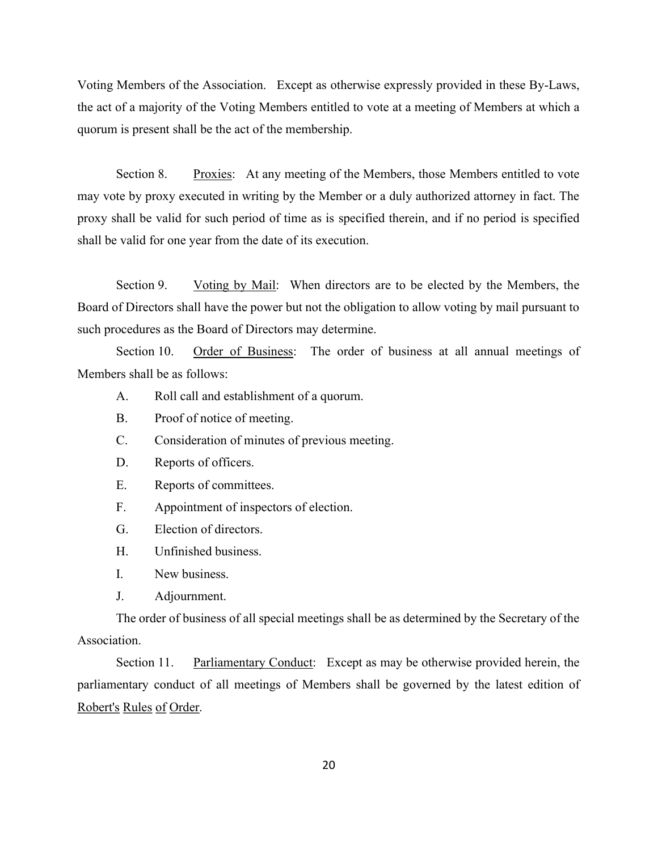Voting Members of the Association. Except as otherwise expressly provided in these By-Laws, the act of a majority of the Voting Members entitled to vote at a meeting of Members at which a quorum is present shall be the act of the membership.

Section 8. Proxies: At any meeting of the Members, those Members entitled to vote may vote by proxy executed in writing by the Member or a duly authorized attorney in fact. The proxy shall be valid for such period of time as is specified therein, and if no period is specified shall be valid for one year from the date of its execution.

 Section 9. Voting by Mail: When directors are to be elected by the Members, the Board of Directors shall have the power but not the obligation to allow voting by mail pursuant to such procedures as the Board of Directors may determine.

Section 10. Order of Business: The order of business at all annual meetings of Members shall be as follows:

- A. Roll call and establishment of a quorum.
- B. Proof of notice of meeting.
- C. Consideration of minutes of previous meeting.
- D. Reports of officers.
- E. Reports of committees.
- F. Appointment of inspectors of election.
- G. Election of directors.
- H. Unfinished business.
- I. New business.
- J. Adjournment.

 The order of business of all special meetings shall be as determined by the Secretary of the Association.

 Section 11. Parliamentary Conduct: Except as may be otherwise provided herein, the parliamentary conduct of all meetings of Members shall be governed by the latest edition of Robert's Rules of Order.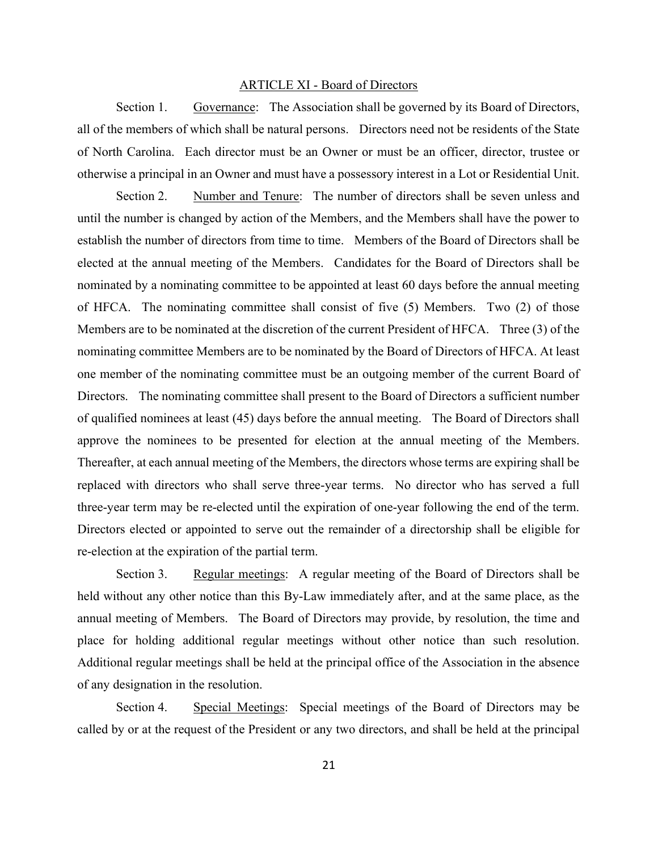#### ARTICLE XI - Board of Directors

 Section 1. Governance: The Association shall be governed by its Board of Directors, all of the members of which shall be natural persons. Directors need not be residents of the State of North Carolina. Each director must be an Owner or must be an officer, director, trustee or otherwise a principal in an Owner and must have a possessory interest in a Lot or Residential Unit.

 Section 2. Number and Tenure: The number of directors shall be seven unless and until the number is changed by action of the Members, and the Members shall have the power to establish the number of directors from time to time. Members of the Board of Directors shall be elected at the annual meeting of the Members. Candidates for the Board of Directors shall be nominated by a nominating committee to be appointed at least 60 days before the annual meeting of HFCA. The nominating committee shall consist of five (5) Members. Two (2) of those Members are to be nominated at the discretion of the current President of HFCA. Three (3) of the nominating committee Members are to be nominated by the Board of Directors of HFCA. At least one member of the nominating committee must be an outgoing member of the current Board of Directors. The nominating committee shall present to the Board of Directors a sufficient number of qualified nominees at least (45) days before the annual meeting. The Board of Directors shall approve the nominees to be presented for election at the annual meeting of the Members. Thereafter, at each annual meeting of the Members, the directors whose terms are expiring shall be replaced with directors who shall serve three-year terms. No director who has served a full three-year term may be re-elected until the expiration of one-year following the end of the term. Directors elected or appointed to serve out the remainder of a directorship shall be eligible for re-election at the expiration of the partial term.

 Section 3. Regular meetings: A regular meeting of the Board of Directors shall be held without any other notice than this By-Law immediately after, and at the same place, as the annual meeting of Members. The Board of Directors may provide, by resolution, the time and place for holding additional regular meetings without other notice than such resolution. Additional regular meetings shall be held at the principal office of the Association in the absence of any designation in the resolution.

 Section 4. Special Meetings: Special meetings of the Board of Directors may be called by or at the request of the President or any two directors, and shall be held at the principal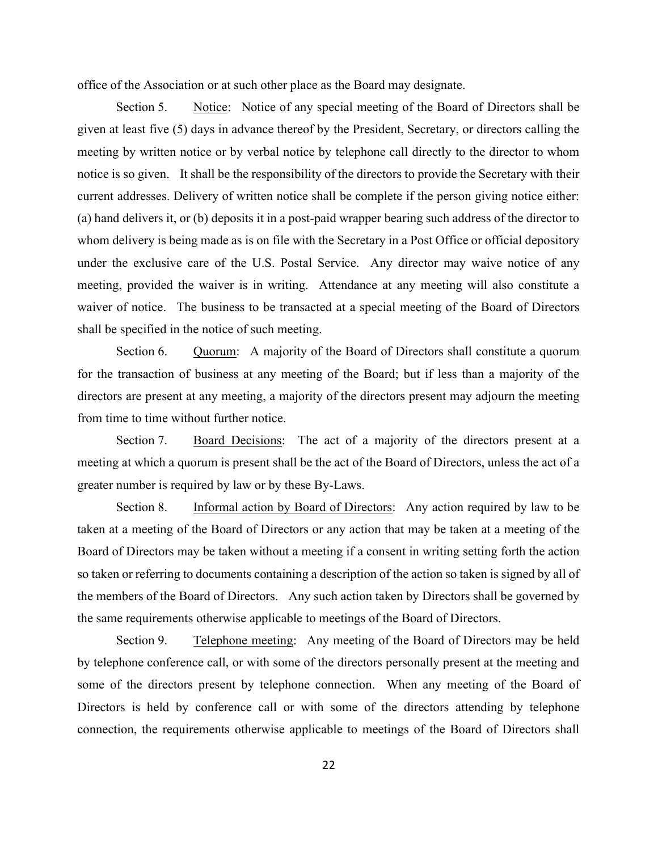office of the Association or at such other place as the Board may designate.

Section 5. Notice: Notice of any special meeting of the Board of Directors shall be given at least five (5) days in advance thereof by the President, Secretary, or directors calling the meeting by written notice or by verbal notice by telephone call directly to the director to whom notice is so given. It shall be the responsibility of the directors to provide the Secretary with their current addresses. Delivery of written notice shall be complete if the person giving notice either: (a) hand delivers it, or (b) deposits it in a post-paid wrapper bearing such address of the director to whom delivery is being made as is on file with the Secretary in a Post Office or official depository under the exclusive care of the U.S. Postal Service. Any director may waive notice of any meeting, provided the waiver is in writing. Attendance at any meeting will also constitute a waiver of notice. The business to be transacted at a special meeting of the Board of Directors shall be specified in the notice of such meeting.

Section 6. Quorum: A majority of the Board of Directors shall constitute a quorum for the transaction of business at any meeting of the Board; but if less than a majority of the directors are present at any meeting, a majority of the directors present may adjourn the meeting from time to time without further notice.

Section 7. Board Decisions: The act of a majority of the directors present at a meeting at which a quorum is present shall be the act of the Board of Directors, unless the act of a greater number is required by law or by these By-Laws.

 Section 8. Informal action by Board of Directors: Any action required by law to be taken at a meeting of the Board of Directors or any action that may be taken at a meeting of the Board of Directors may be taken without a meeting if a consent in writing setting forth the action so taken or referring to documents containing a description of the action so taken is signed by all of the members of the Board of Directors. Any such action taken by Directors shall be governed by the same requirements otherwise applicable to meetings of the Board of Directors.

Section 9. Telephone meeting: Any meeting of the Board of Directors may be held by telephone conference call, or with some of the directors personally present at the meeting and some of the directors present by telephone connection. When any meeting of the Board of Directors is held by conference call or with some of the directors attending by telephone connection, the requirements otherwise applicable to meetings of the Board of Directors shall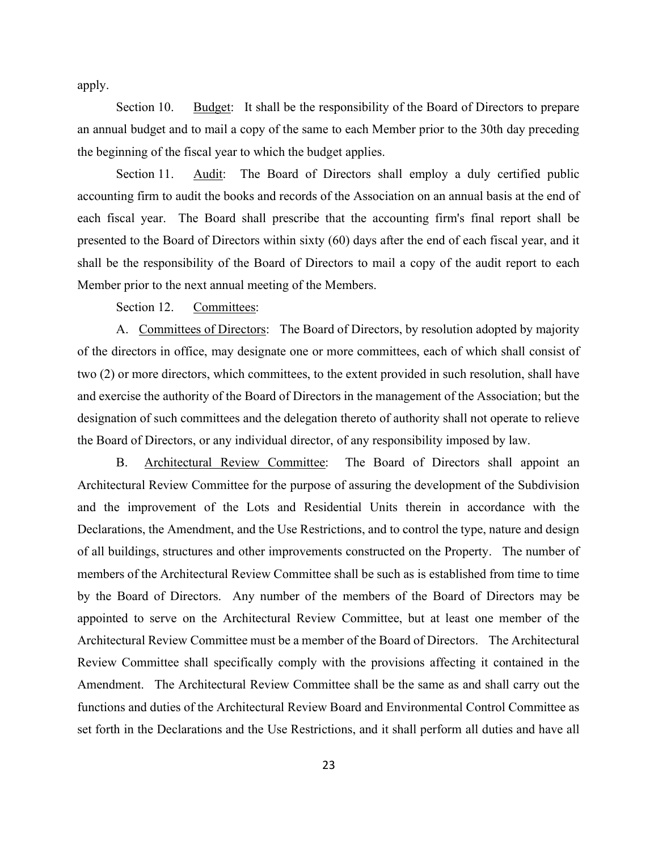apply.

 Section 10. Budget: It shall be the responsibility of the Board of Directors to prepare an annual budget and to mail a copy of the same to each Member prior to the 30th day preceding the beginning of the fiscal year to which the budget applies.

Section 11. Audit: The Board of Directors shall employ a duly certified public accounting firm to audit the books and records of the Association on an annual basis at the end of each fiscal year. The Board shall prescribe that the accounting firm's final report shall be presented to the Board of Directors within sixty (60) days after the end of each fiscal year, and it shall be the responsibility of the Board of Directors to mail a copy of the audit report to each Member prior to the next annual meeting of the Members.

Section 12. Committees:

A. Committees of Directors: The Board of Directors, by resolution adopted by majority of the directors in office, may designate one or more committees, each of which shall consist of two (2) or more directors, which committees, to the extent provided in such resolution, shall have and exercise the authority of the Board of Directors in the management of the Association; but the designation of such committees and the delegation thereto of authority shall not operate to relieve the Board of Directors, or any individual director, of any responsibility imposed by law.

 B. Architectural Review Committee: The Board of Directors shall appoint an Architectural Review Committee for the purpose of assuring the development of the Subdivision and the improvement of the Lots and Residential Units therein in accordance with the Declarations, the Amendment, and the Use Restrictions, and to control the type, nature and design of all buildings, structures and other improvements constructed on the Property. The number of members of the Architectural Review Committee shall be such as is established from time to time by the Board of Directors. Any number of the members of the Board of Directors may be appointed to serve on the Architectural Review Committee, but at least one member of the Architectural Review Committee must be a member of the Board of Directors. The Architectural Review Committee shall specifically comply with the provisions affecting it contained in the Amendment. The Architectural Review Committee shall be the same as and shall carry out the functions and duties of the Architectural Review Board and Environmental Control Committee as set forth in the Declarations and the Use Restrictions, and it shall perform all duties and have all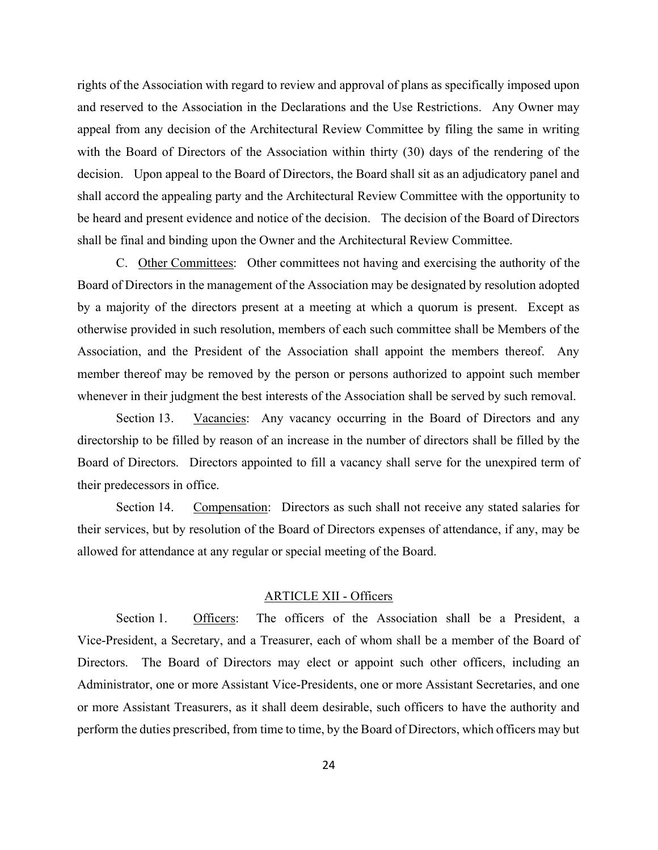rights of the Association with regard to review and approval of plans as specifically imposed upon and reserved to the Association in the Declarations and the Use Restrictions. Any Owner may appeal from any decision of the Architectural Review Committee by filing the same in writing with the Board of Directors of the Association within thirty (30) days of the rendering of the decision. Upon appeal to the Board of Directors, the Board shall sit as an adjudicatory panel and shall accord the appealing party and the Architectural Review Committee with the opportunity to be heard and present evidence and notice of the decision. The decision of the Board of Directors shall be final and binding upon the Owner and the Architectural Review Committee.

 C. Other Committees: Other committees not having and exercising the authority of the Board of Directors in the management of the Association may be designated by resolution adopted by a majority of the directors present at a meeting at which a quorum is present. Except as otherwise provided in such resolution, members of each such committee shall be Members of the Association, and the President of the Association shall appoint the members thereof. Any member thereof may be removed by the person or persons authorized to appoint such member whenever in their judgment the best interests of the Association shall be served by such removal.

Section 13. Vacancies: Any vacancy occurring in the Board of Directors and any directorship to be filled by reason of an increase in the number of directors shall be filled by the Board of Directors. Directors appointed to fill a vacancy shall serve for the unexpired term of their predecessors in office.

 Section 14. Compensation: Directors as such shall not receive any stated salaries for their services, but by resolution of the Board of Directors expenses of attendance, if any, may be allowed for attendance at any regular or special meeting of the Board.

# ARTICLE XII - Officers

 Section 1. Officers: The officers of the Association shall be a President, a Vice-President, a Secretary, and a Treasurer, each of whom shall be a member of the Board of Directors. The Board of Directors may elect or appoint such other officers, including an Administrator, one or more Assistant Vice-Presidents, one or more Assistant Secretaries, and one or more Assistant Treasurers, as it shall deem desirable, such officers to have the authority and perform the duties prescribed, from time to time, by the Board of Directors, which officers may but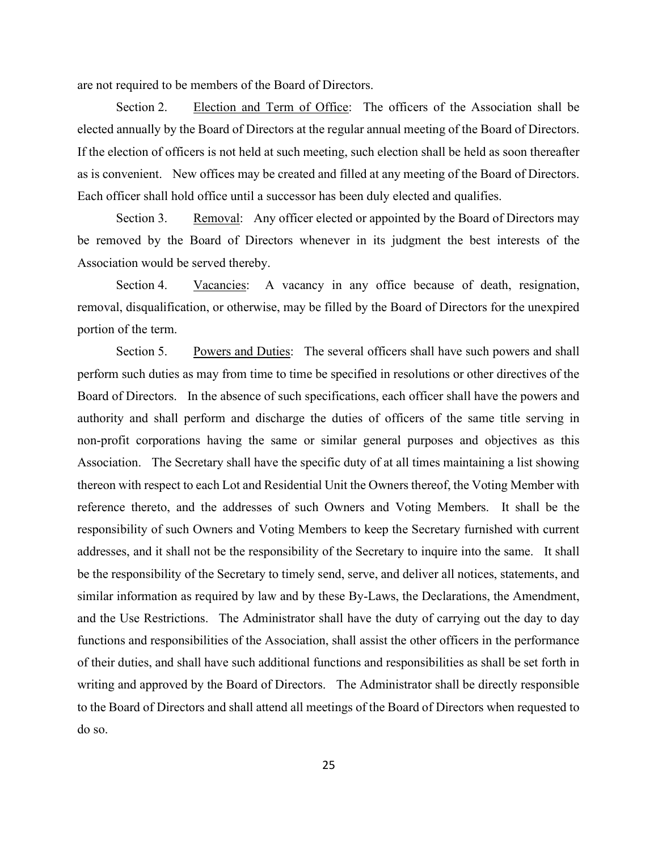are not required to be members of the Board of Directors.

 Section 2. Election and Term of Office: The officers of the Association shall be elected annually by the Board of Directors at the regular annual meeting of the Board of Directors. If the election of officers is not held at such meeting, such election shall be held as soon thereafter as is convenient. New offices may be created and filled at any meeting of the Board of Directors. Each officer shall hold office until a successor has been duly elected and qualifies.

Section 3. Removal: Any officer elected or appointed by the Board of Directors may be removed by the Board of Directors whenever in its judgment the best interests of the Association would be served thereby.

Section 4. Vacancies: A vacancy in any office because of death, resignation, removal, disqualification, or otherwise, may be filled by the Board of Directors for the unexpired portion of the term.

Section 5. Powers and Duties: The several officers shall have such powers and shall perform such duties as may from time to time be specified in resolutions or other directives of the Board of Directors. In the absence of such specifications, each officer shall have the powers and authority and shall perform and discharge the duties of officers of the same title serving in non-profit corporations having the same or similar general purposes and objectives as this Association. The Secretary shall have the specific duty of at all times maintaining a list showing thereon with respect to each Lot and Residential Unit the Owners thereof, the Voting Member with reference thereto, and the addresses of such Owners and Voting Members. It shall be the responsibility of such Owners and Voting Members to keep the Secretary furnished with current addresses, and it shall not be the responsibility of the Secretary to inquire into the same. It shall be the responsibility of the Secretary to timely send, serve, and deliver all notices, statements, and similar information as required by law and by these By-Laws, the Declarations, the Amendment, and the Use Restrictions. The Administrator shall have the duty of carrying out the day to day functions and responsibilities of the Association, shall assist the other officers in the performance of their duties, and shall have such additional functions and responsibilities as shall be set forth in writing and approved by the Board of Directors. The Administrator shall be directly responsible to the Board of Directors and shall attend all meetings of the Board of Directors when requested to do so.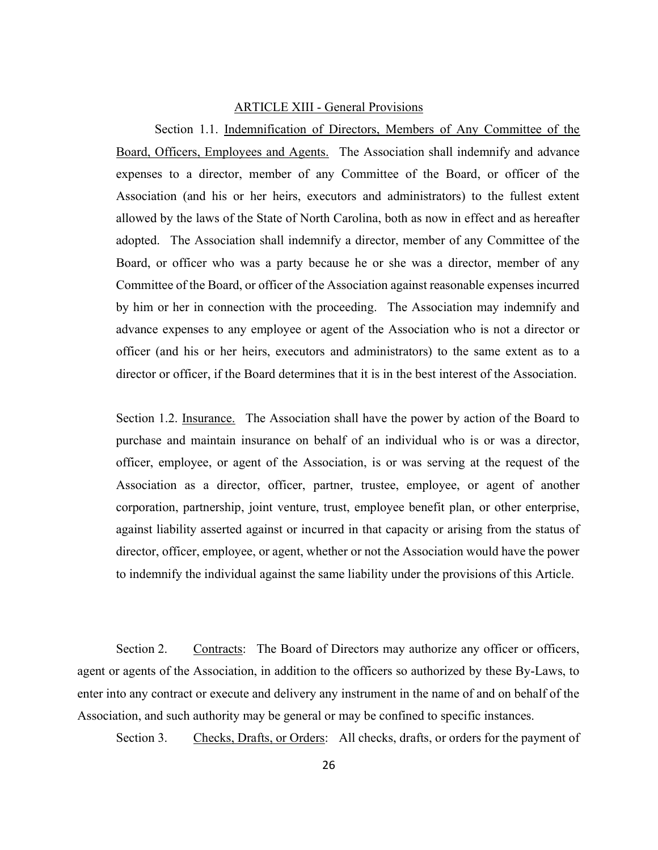#### ARTICLE XIII - General Provisions

 Section 1.1. Indemnification of Directors, Members of Any Committee of the Board, Officers, Employees and Agents. The Association shall indemnify and advance expenses to a director, member of any Committee of the Board, or officer of the Association (and his or her heirs, executors and administrators) to the fullest extent allowed by the laws of the State of North Carolina, both as now in effect and as hereafter adopted. The Association shall indemnify a director, member of any Committee of the Board, or officer who was a party because he or she was a director, member of any Committee of the Board, or officer of the Association against reasonable expenses incurred by him or her in connection with the proceeding. The Association may indemnify and advance expenses to any employee or agent of the Association who is not a director or officer (and his or her heirs, executors and administrators) to the same extent as to a director or officer, if the Board determines that it is in the best interest of the Association.

Section 1.2. Insurance. The Association shall have the power by action of the Board to purchase and maintain insurance on behalf of an individual who is or was a director, officer, employee, or agent of the Association, is or was serving at the request of the Association as a director, officer, partner, trustee, employee, or agent of another corporation, partnership, joint venture, trust, employee benefit plan, or other enterprise, against liability asserted against or incurred in that capacity or arising from the status of director, officer, employee, or agent, whether or not the Association would have the power to indemnify the individual against the same liability under the provisions of this Article.

Section 2. Contracts: The Board of Directors may authorize any officer or officers, agent or agents of the Association, in addition to the officers so authorized by these By-Laws, to enter into any contract or execute and delivery any instrument in the name of and on behalf of the Association, and such authority may be general or may be confined to specific instances.

Section 3. Checks, Drafts, or Orders: All checks, drafts, or orders for the payment of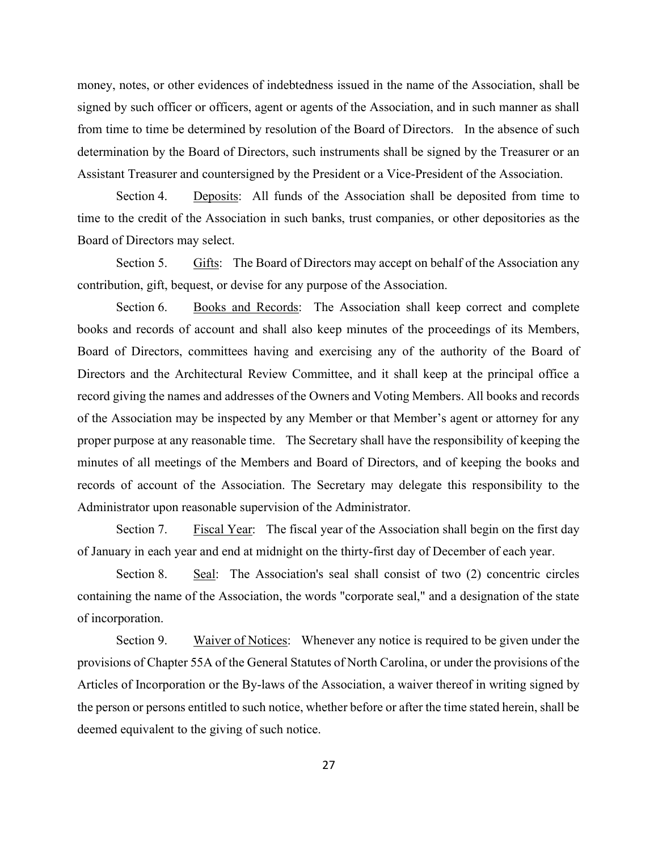money, notes, or other evidences of indebtedness issued in the name of the Association, shall be signed by such officer or officers, agent or agents of the Association, and in such manner as shall from time to time be determined by resolution of the Board of Directors. In the absence of such determination by the Board of Directors, such instruments shall be signed by the Treasurer or an Assistant Treasurer and countersigned by the President or a Vice-President of the Association.

 Section 4. Deposits: All funds of the Association shall be deposited from time to time to the credit of the Association in such banks, trust companies, or other depositories as the Board of Directors may select.

 Section 5. Gifts: The Board of Directors may accept on behalf of the Association any contribution, gift, bequest, or devise for any purpose of the Association.

Section 6. Books and Records: The Association shall keep correct and complete books and records of account and shall also keep minutes of the proceedings of its Members, Board of Directors, committees having and exercising any of the authority of the Board of Directors and the Architectural Review Committee, and it shall keep at the principal office a record giving the names and addresses of the Owners and Voting Members. All books and records of the Association may be inspected by any Member or that Member's agent or attorney for any proper purpose at any reasonable time. The Secretary shall have the responsibility of keeping the minutes of all meetings of the Members and Board of Directors, and of keeping the books and records of account of the Association. The Secretary may delegate this responsibility to the Administrator upon reasonable supervision of the Administrator.

Section 7. Fiscal Year: The fiscal year of the Association shall begin on the first day of January in each year and end at midnight on the thirty-first day of December of each year.

Section 8. Seal: The Association's seal shall consist of two (2) concentric circles containing the name of the Association, the words "corporate seal," and a designation of the state of incorporation.

Section 9. Waiver of Notices: Whenever any notice is required to be given under the provisions of Chapter 55A of the General Statutes of North Carolina, or under the provisions of the Articles of Incorporation or the By-laws of the Association, a waiver thereof in writing signed by the person or persons entitled to such notice, whether before or after the time stated herein, shall be deemed equivalent to the giving of such notice.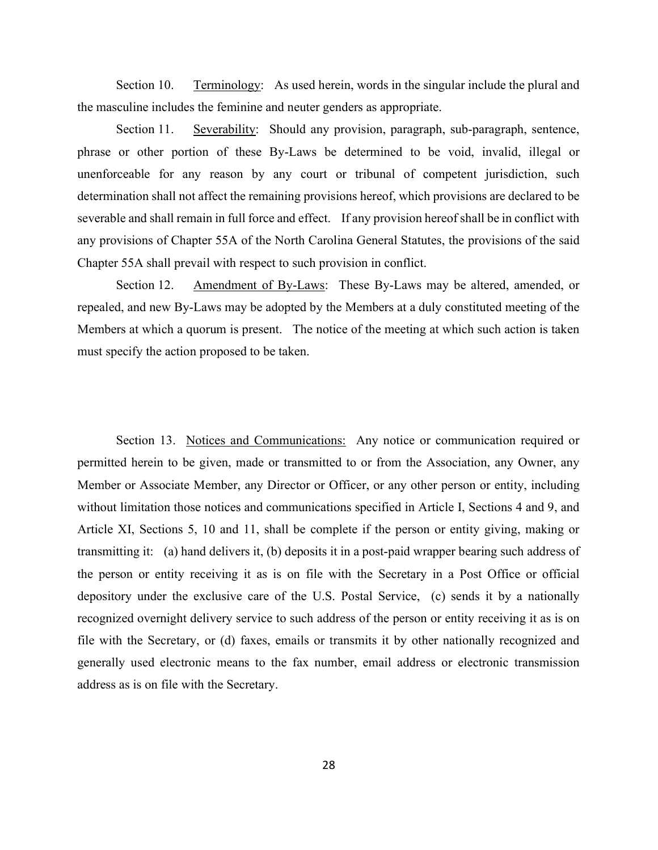Section 10. Terminology: As used herein, words in the singular include the plural and the masculine includes the feminine and neuter genders as appropriate.

Section 11. Severability: Should any provision, paragraph, sub-paragraph, sentence, phrase or other portion of these By-Laws be determined to be void, invalid, illegal or unenforceable for any reason by any court or tribunal of competent jurisdiction, such determination shall not affect the remaining provisions hereof, which provisions are declared to be severable and shall remain in full force and effect. If any provision hereof shall be in conflict with any provisions of Chapter 55A of the North Carolina General Statutes, the provisions of the said Chapter 55A shall prevail with respect to such provision in conflict.

 Section 12. Amendment of By-Laws: These By-Laws may be altered, amended, or repealed, and new By-Laws may be adopted by the Members at a duly constituted meeting of the Members at which a quorum is present. The notice of the meeting at which such action is taken must specify the action proposed to be taken.

 Section 13. Notices and Communications: Any notice or communication required or permitted herein to be given, made or transmitted to or from the Association, any Owner, any Member or Associate Member, any Director or Officer, or any other person or entity, including without limitation those notices and communications specified in Article I, Sections 4 and 9, and Article XI, Sections 5, 10 and 11, shall be complete if the person or entity giving, making or transmitting it: (a) hand delivers it, (b) deposits it in a post-paid wrapper bearing such address of the person or entity receiving it as is on file with the Secretary in a Post Office or official depository under the exclusive care of the U.S. Postal Service, (c) sends it by a nationally recognized overnight delivery service to such address of the person or entity receiving it as is on file with the Secretary, or (d) faxes, emails or transmits it by other nationally recognized and generally used electronic means to the fax number, email address or electronic transmission address as is on file with the Secretary.